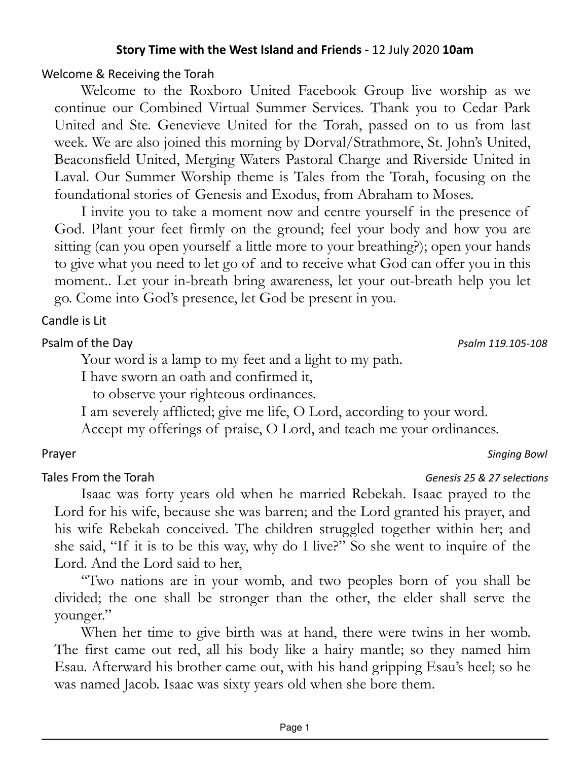## **Story Time with the West Island and Friends - 12 July 2020 10am**

## Welcome & Receiving the Torah

Welcome to the Roxboro United Facebook Group live worship as we continue our Combined Virtual Summer Services. Thank you to Cedar Park United and Ste. Genevieve United for the Torah, passed on to us from last week. We are also joined this morning by Dorval/Strathmore, St. John's United, Beaconsfield United, Merging Waters Pastoral Charge and Riverside United in Laval. Our Summer Worship theme is Tales from the Torah, focusing on the foundational stories of Genesis and Exodus, from Abraham to Moses.

I invite you to take a moment now and centre yourself in the presence of God. Plant your feet firmly on the ground; feel your body and how you are sitting (can you open yourself a little more to your breathing?); open your hands to give what you need to let go of and to receive what God can offer you in this moment.. Let your in-breath bring awareness, let your out-breath help you let go. Come into God's presence, let God be present in you.

## Candle is Lit

Psalm of the Day *Psalm 119.105-108* 

Your word is a lamp to my feet and a light to my path.

I have sworn an oath and confirmed it,

to observe your righteous ordinances.

I am severely afflicted; give me life, O Lord, according to your word.

Accept my offerings of praise, O Lord, and teach me your ordinances.

## Prayer **Contract Contract Contract Contract Contract Contract Contract Contract Contract Contract Contract Contract Contract Contract Contract Contract Contract Contract Contract Contract Contract Contract Contract Contrac**

Tales From the Torah *Genesis 25 & 27 selections* 

Isaac was forty years old when he married Rebekah. Isaac prayed to the Lord for his wife, because she was barren; and the Lord granted his prayer, and his wife Rebekah conceived. The children struggled together within her; and she said, "If it is to be this way, why do I live?" So she went to inquire of the Lord. And the Lord said to her,

"Two nations are in your womb, and two peoples born of you shall be divided; the one shall be stronger than the other, the elder shall serve the younger."

When her time to give birth was at hand, there were twins in her womb. The first came out red, all his body like a hairy mantle; so they named him Esau. Afterward his brother came out, with his hand gripping Esau's heel; so he was named Jacob. Isaac was sixty years old when she bore them.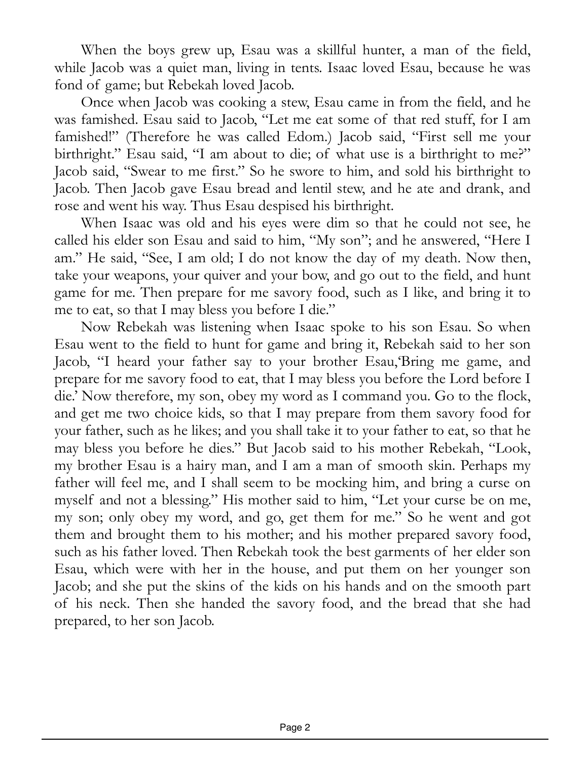When the boys grew up, Esau was a skillful hunter, a man of the field, while Jacob was a quiet man, living in tents. Isaac loved Esau, because he was fond of game; but Rebekah loved Jacob.

Once when Jacob was cooking a stew, Esau came in from the field, and he was famished. Esau said to Jacob, "Let me eat some of that red stuff, for I am famished!" (Therefore he was called Edom.) Jacob said, "First sell me your birthright." Esau said, "I am about to die; of what use is a birthright to me?" Jacob said, "Swear to me first." So he swore to him, and sold his birthright to Jacob. Then Jacob gave Esau bread and lentil stew, and he ate and drank, and rose and went his way. Thus Esau despised his birthright.

When Isaac was old and his eyes were dim so that he could not see, he called his elder son Esau and said to him, "My son"; and he answered, "Here I am." He said, "See, I am old; I do not know the day of my death. Now then, take your weapons, your quiver and your bow, and go out to the field, and hunt game for me. Then prepare for me savory food, such as I like, and bring it to me to eat, so that I may bless you before I die."

Now Rebekah was listening when Isaac spoke to his son Esau. So when Esau went to the field to hunt for game and bring it, Rebekah said to her son Jacob, "I heard your father say to your brother Esau,'Bring me game, and prepare for me savory food to eat, that I may bless you before the Lord before I die.' Now therefore, my son, obey my word as I command you. Go to the flock, and get me two choice kids, so that I may prepare from them savory food for your father, such as he likes; and you shall take it to your father to eat, so that he may bless you before he dies." But Jacob said to his mother Rebekah, "Look, my brother Esau is a hairy man, and I am a man of smooth skin. Perhaps my father will feel me, and I shall seem to be mocking him, and bring a curse on myself and not a blessing." His mother said to him, "Let your curse be on me, my son; only obey my word, and go, get them for me." So he went and got them and brought them to his mother; and his mother prepared savory food, such as his father loved. Then Rebekah took the best garments of her elder son Esau, which were with her in the house, and put them on her younger son Jacob; and she put the skins of the kids on his hands and on the smooth part of his neck. Then she handed the savory food, and the bread that she had prepared, to her son Jacob.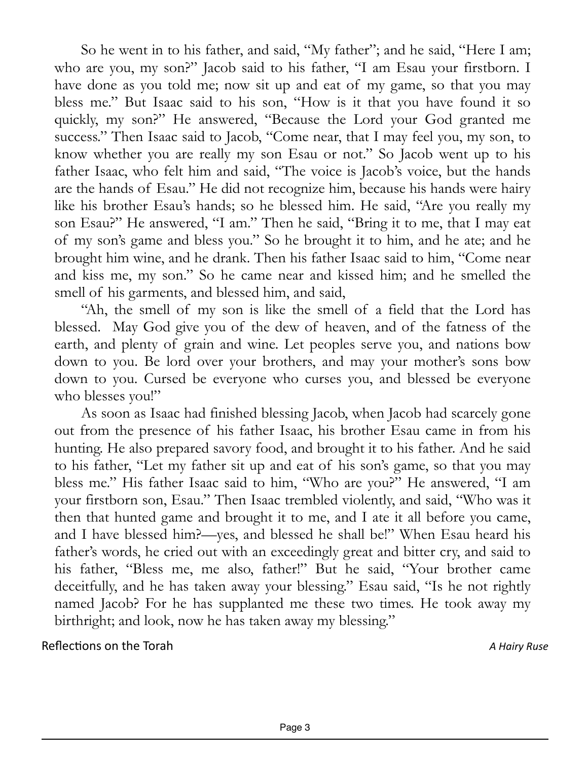So he went in to his father, and said, "My father"; and he said, "Here I am; who are you, my son?" Jacob said to his father, "I am Esau your firstborn. I have done as you told me; now sit up and eat of my game, so that you may bless me." But Isaac said to his son, "How is it that you have found it so quickly, my son?" He answered, "Because the Lord your God granted me success." Then Isaac said to Jacob, "Come near, that I may feel you, my son, to know whether you are really my son Esau or not." So Jacob went up to his father Isaac, who felt him and said, "The voice is Jacob's voice, but the hands are the hands of Esau." He did not recognize him, because his hands were hairy like his brother Esau's hands; so he blessed him. He said, "Are you really my son Esau?" He answered, "I am." Then he said, "Bring it to me, that I may eat of my son's game and bless you." So he brought it to him, and he ate; and he brought him wine, and he drank. Then his father Isaac said to him, "Come near and kiss me, my son." So he came near and kissed him; and he smelled the smell of his garments, and blessed him, and said,

"Ah, the smell of my son is like the smell of a field that the Lord has blessed. May God give you of the dew of heaven, and of the fatness of the earth, and plenty of grain and wine. Let peoples serve you, and nations bow down to you. Be lord over your brothers, and may your mother's sons bow down to you. Cursed be everyone who curses you, and blessed be everyone who blesses you!"

As soon as Isaac had finished blessing Jacob, when Jacob had scarcely gone out from the presence of his father Isaac, his brother Esau came in from his hunting. He also prepared savory food, and brought it to his father. And he said to his father, "Let my father sit up and eat of his son's game, so that you may bless me." His father Isaac said to him, "Who are you?" He answered, "I am your firstborn son, Esau." Then Isaac trembled violently, and said, "Who was it then that hunted game and brought it to me, and I ate it all before you came, and I have blessed him?—yes, and blessed he shall be!" When Esau heard his father's words, he cried out with an exceedingly great and bitter cry, and said to his father, "Bless me, me also, father!" But he said, "Your brother came deceitfully, and he has taken away your blessing." Esau said, "Is he not rightly named Jacob? For he has supplanted me these two times. He took away my birthright; and look, now he has taken away my blessing."

## Reflections on the Torah *A Hairy Ruse A Hairy Ruse*